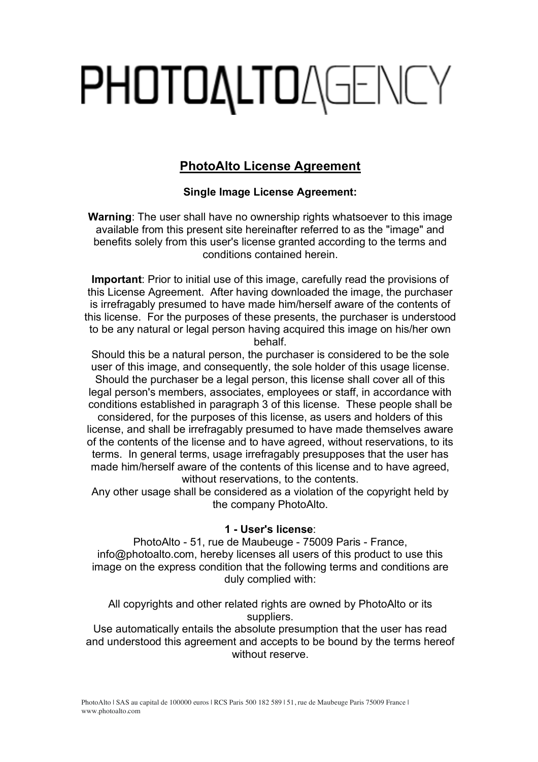# **PHOTOALTOAGENCY**

# **PhotoAlto License Agreement**

# **Single Image License Agreement:**

**Warning**: The user shall have no ownership rights whatsoever to this image available from this present site hereinafter referred to as the "image" and benefits solely from this user's license granted according to the terms and conditions contained herein.

**Important**: Prior to initial use of this image, carefully read the provisions of this License Agreement. After having downloaded the image, the purchaser is irrefragably presumed to have made him/herself aware of the contents of this license. For the purposes of these presents, the purchaser is understood to be any natural or legal person having acquired this image on his/her own behalf.

Should this be a natural person, the purchaser is considered to be the sole user of this image, and consequently, the sole holder of this usage license. Should the purchaser be a legal person, this license shall cover all of this legal person's members, associates, employees or staff, in accordance with conditions established in paragraph 3 of this license. These people shall be considered, for the purposes of this license, as users and holders of this license, and shall be irrefragably presumed to have made themselves aware of the contents of the license and to have agreed, without reservations, to its terms. In general terms, usage irrefragably presupposes that the user has made him/herself aware of the contents of this license and to have agreed, without reservations, to the contents.

Any other usage shall be considered as a violation of the copyright held by the company PhotoAlto.

## **1 - User's license**:

PhotoAlto - 51, rue de Maubeuge - 75009 Paris - France, info@photoalto.com, hereby licenses all users of this product to use this image on the express condition that the following terms and conditions are duly complied with:

All copyrights and other related rights are owned by PhotoAlto or its suppliers.

Use automatically entails the absolute presumption that the user has read and understood this agreement and accepts to be bound by the terms hereof without reserve.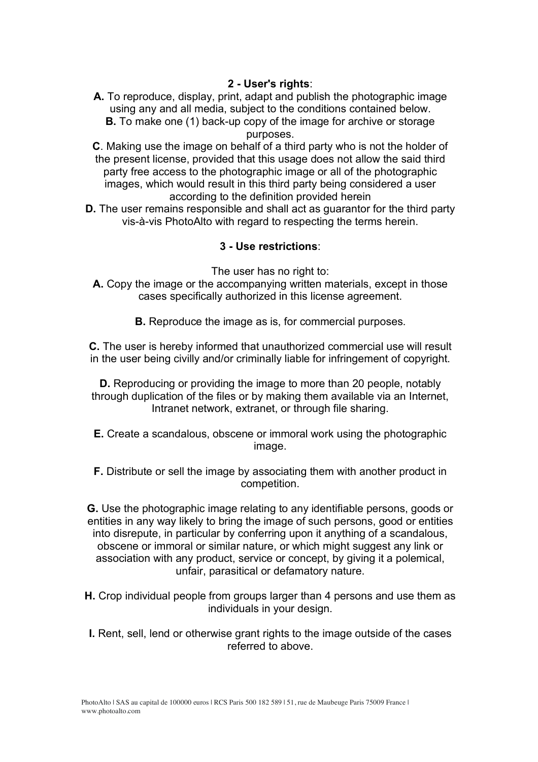# **2 - User's rights**:

**A.** To reproduce, display, print, adapt and publish the photographic image using any and all media, subject to the conditions contained below. **B.** To make one (1) back-up copy of the image for archive or storage

purposes.

**C**. Making use the image on behalf of a third party who is not the holder of the present license, provided that this usage does not allow the said third party free access to the photographic image or all of the photographic images, which would result in this third party being considered a user according to the definition provided herein

**D.** The user remains responsible and shall act as guarantor for the third party vis-à-vis PhotoAlto with regard to respecting the terms herein.

## **3 - Use restrictions**:

The user has no right to:

- **A.** Copy the image or the accompanying written materials, except in those cases specifically authorized in this license agreement.
	- **B.** Reproduce the image as is, for commercial purposes.

**C.** The user is hereby informed that unauthorized commercial use will result in the user being civilly and/or criminally liable for infringement of copyright.

**D.** Reproducing or providing the image to more than 20 people, notably through duplication of the files or by making them available via an Internet, Intranet network, extranet, or through file sharing.

- **E.** Create a scandalous, obscene or immoral work using the photographic image.
- **F.** Distribute or sell the image by associating them with another product in competition.

**G.** Use the photographic image relating to any identifiable persons, goods or entities in any way likely to bring the image of such persons, good or entities into disrepute, in particular by conferring upon it anything of a scandalous, obscene or immoral or similar nature, or which might suggest any link or association with any product, service or concept, by giving it a polemical, unfair, parasitical or defamatory nature.

- **H.** Crop individual people from groups larger than 4 persons and use them as individuals in your design.
- **I.** Rent, sell, lend or otherwise grant rights to the image outside of the cases referred to above.